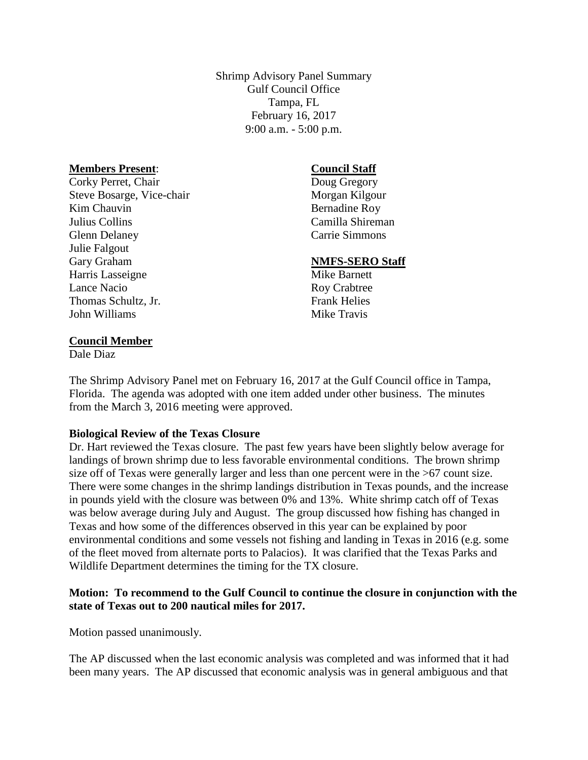Shrimp Advisory Panel Summary Gulf Council Office Tampa, FL February 16, 2017 9:00 a.m. - 5:00 p.m.

#### **Members Present**:

Corky Perret, Chair Steve Bosarge, Vice-chair Kim Chauvin Julius Collins Glenn Delaney Julie Falgout Gary Graham Harris Lasseigne Lance Nacio Thomas Schultz, Jr. John Williams

#### **Council Staff** Doug Gregory

Morgan Kilgour Bernadine Roy Camilla Shireman Carrie Simmons

## **NMFS-SERO Staff**

Mike Barnett Roy Crabtree Frank Helies Mike Travis

#### **Council Member**

Dale Diaz

The Shrimp Advisory Panel met on February 16, 2017 at the Gulf Council office in Tampa, Florida. The agenda was adopted with one item added under other business. The minutes from the March 3, 2016 meeting were approved.

## **Biological Review of the Texas Closure**

Dr. Hart reviewed the Texas closure. The past few years have been slightly below average for landings of brown shrimp due to less favorable environmental conditions. The brown shrimp size off of Texas were generally larger and less than one percent were in the >67 count size. There were some changes in the shrimp landings distribution in Texas pounds, and the increase in pounds yield with the closure was between 0% and 13%. White shrimp catch off of Texas was below average during July and August. The group discussed how fishing has changed in Texas and how some of the differences observed in this year can be explained by poor environmental conditions and some vessels not fishing and landing in Texas in 2016 (e.g. some of the fleet moved from alternate ports to Palacios). It was clarified that the Texas Parks and Wildlife Department determines the timing for the TX closure.

## **Motion: To recommend to the Gulf Council to continue the closure in conjunction with the state of Texas out to 200 nautical miles for 2017.**

Motion passed unanimously.

The AP discussed when the last economic analysis was completed and was informed that it had been many years. The AP discussed that economic analysis was in general ambiguous and that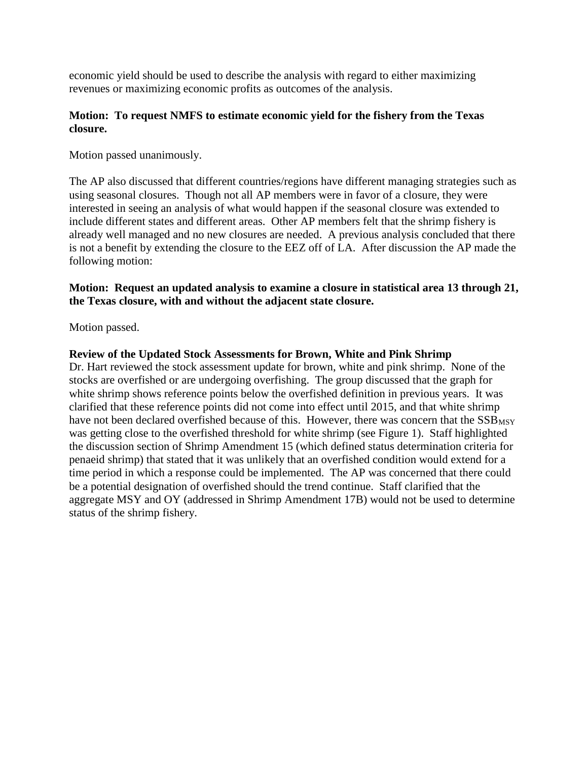economic yield should be used to describe the analysis with regard to either maximizing revenues or maximizing economic profits as outcomes of the analysis.

## **Motion: To request NMFS to estimate economic yield for the fishery from the Texas closure.**

Motion passed unanimously.

The AP also discussed that different countries/regions have different managing strategies such as using seasonal closures. Though not all AP members were in favor of a closure, they were interested in seeing an analysis of what would happen if the seasonal closure was extended to include different states and different areas. Other AP members felt that the shrimp fishery is already well managed and no new closures are needed. A previous analysis concluded that there is not a benefit by extending the closure to the EEZ off of LA. After discussion the AP made the following motion:

## **Motion: Request an updated analysis to examine a closure in statistical area 13 through 21, the Texas closure, with and without the adjacent state closure.**

Motion passed.

## **Review of the Updated Stock Assessments for Brown, White and Pink Shrimp**

Dr. Hart reviewed the stock assessment update for brown, white and pink shrimp. None of the stocks are overfished or are undergoing overfishing. The group discussed that the graph for white shrimp shows reference points below the overfished definition in previous years. It was clarified that these reference points did not come into effect until 2015, and that white shrimp have not been declared overfished because of this. However, there was concern that the SSB<sub>MSY</sub> was getting close to the overfished threshold for white shrimp (see Figure 1). Staff highlighted the discussion section of Shrimp Amendment 15 (which defined status determination criteria for penaeid shrimp) that stated that it was unlikely that an overfished condition would extend for a time period in which a response could be implemented. The AP was concerned that there could be a potential designation of overfished should the trend continue. Staff clarified that the aggregate MSY and OY (addressed in Shrimp Amendment 17B) would not be used to determine status of the shrimp fishery.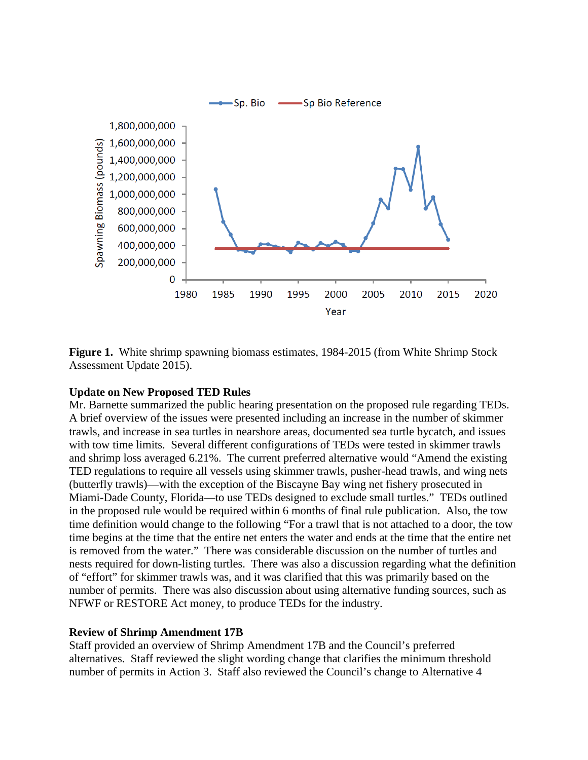

**Figure 1.** White shrimp spawning biomass estimates, 1984-2015 (from White Shrimp Stock Assessment Update 2015).

## **Update on New Proposed TED Rules**

Mr. Barnette summarized the public hearing presentation on the proposed rule regarding TEDs. A brief overview of the issues were presented including an increase in the number of skimmer trawls, and increase in sea turtles in nearshore areas, documented sea turtle bycatch, and issues with tow time limits. Several different configurations of TEDs were tested in skimmer trawls and shrimp loss averaged 6.21%. The current preferred alternative would "Amend the existing TED regulations to require all vessels using skimmer trawls, pusher-head trawls, and wing nets (butterfly trawls)—with the exception of the Biscayne Bay wing net fishery prosecuted in Miami-Dade County, Florida—to use TEDs designed to exclude small turtles." TEDs outlined in the proposed rule would be required within 6 months of final rule publication. Also, the tow time definition would change to the following "For a trawl that is not attached to a door, the tow time begins at the time that the entire net enters the water and ends at the time that the entire net is removed from the water." There was considerable discussion on the number of turtles and nests required for down-listing turtles. There was also a discussion regarding what the definition of "effort" for skimmer trawls was, and it was clarified that this was primarily based on the number of permits. There was also discussion about using alternative funding sources, such as NFWF or RESTORE Act money, to produce TEDs for the industry.

#### **Review of Shrimp Amendment 17B**

Staff provided an overview of Shrimp Amendment 17B and the Council's preferred alternatives. Staff reviewed the slight wording change that clarifies the minimum threshold number of permits in Action 3. Staff also reviewed the Council's change to Alternative 4